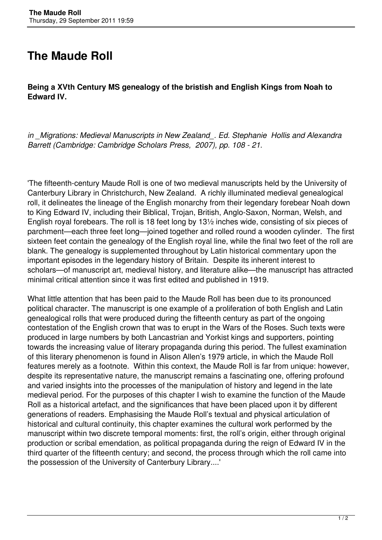## **The Maude Roll**

**Being a XVth Century MS genealogy of the bristish and English Kings from Noah to Edward IV.**

*in \_Migrations: Medieval Manuscripts in New Zealand\_. Ed. Stephanie Hollis and Alexandra Barrett (Cambridge: Cambridge Scholars Press, 2007), pp. 108 - 21.*

'The fifteenth-century Maude Roll is one of two medieval manuscripts held by the University of Canterbury Library in Christchurch, New Zealand. A richly illuminated medieval genealogical roll, it delineates the lineage of the English monarchy from their legendary forebear Noah down to King Edward IV, including their Biblical, Trojan, British, Anglo-Saxon, Norman, Welsh, and English royal forebears. The roll is 18 feet long by 13½ inches wide, consisting of six pieces of parchment—each three feet long—joined together and rolled round a wooden cylinder. The first sixteen feet contain the genealogy of the English royal line, while the final two feet of the roll are blank. The genealogy is supplemented throughout by Latin historical commentary upon the important episodes in the legendary history of Britain. Despite its inherent interest to scholars—of manuscript art, medieval history, and literature alike—the manuscript has attracted minimal critical attention since it was first edited and published in 1919.

What little attention that has been paid to the Maude Roll has been due to its pronounced political character. The manuscript is one example of a proliferation of both English and Latin genealogical rolls that were produced during the fifteenth century as part of the ongoing contestation of the English crown that was to erupt in the Wars of the Roses. Such texts were produced in large numbers by both Lancastrian and Yorkist kings and supporters, pointing towards the increasing value of literary propaganda during this period. The fullest examination of this literary phenomenon is found in Alison Allen's 1979 article, in which the Maude Roll features merely as a footnote. Within this context, the Maude Roll is far from unique: however, despite its representative nature, the manuscript remains a fascinating one, offering profound and varied insights into the processes of the manipulation of history and legend in the late medieval period. For the purposes of this chapter I wish to examine the function of the Maude Roll as a historical artefact, and the significances that have been placed upon it by different generations of readers. Emphasising the Maude Roll's textual and physical articulation of historical and cultural continuity, this chapter examines the cultural work performed by the manuscript within two discrete temporal moments: first, the roll's origin, either through original production or scribal emendation, as political propaganda during the reign of Edward IV in the third quarter of the fifteenth century; and second, the process through which the roll came into the possession of the University of Canterbury Library....'